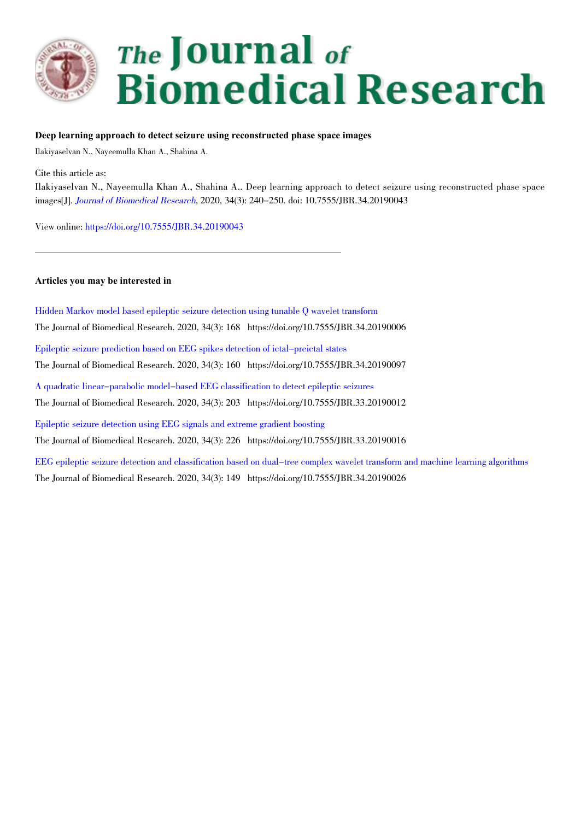

# The Journal of **Biomedical Research**

## **Deep learning approach to detect seizure using reconstructed phase space images**

Ilakiyaselvan N., Nayeemulla Khan A., Shahina A.

Cite this article as:

Ilakiyaselvan N., Nayeemulla Khan A., Shahina A.. Deep learning approach to detect seizure using reconstructed phase space images[J]. Journal of Biomedical Research, 2020, 34(3): 240-250. doi: 10.7555/JBR.34.20190043

View online: https://doi.org/10.7555/JBR.34.20190043

#### **Articles you may be interested in**

Hidden Markov model based epileptic seizure detection using tunable Q wavelet transform The Journal of Biomedical Research. 2020, 34(3): 168 https://doi.org/10.7555/JBR.34.20190006 Epileptic seizure prediction based on EEG spikes detection of ictal-preictal states The Journal of Biomedical Research. 2020, 34(3): 160 https://doi.org/10.7555/JBR.34.20190097 A quadratic linear-parabolic model-based EEG classification to detect epileptic seizures The Journal of Biomedical Research. 2020, 34(3): 203 https://doi.org/10.7555/JBR.33.20190012 Epileptic seizure detection using EEG signals and extreme gradient boosting The Journal of Biomedical Research. 2020, 34(3): 226 https://doi.org/10.7555/JBR.33.20190016 EEG epileptic seizure detection and classification based on dual-tree complex wavelet transform and machine learning algorithms The Journal of Biomedical Research. 2020, 34(3): 149 https://doi.org/10.7555/JBR.34.20190026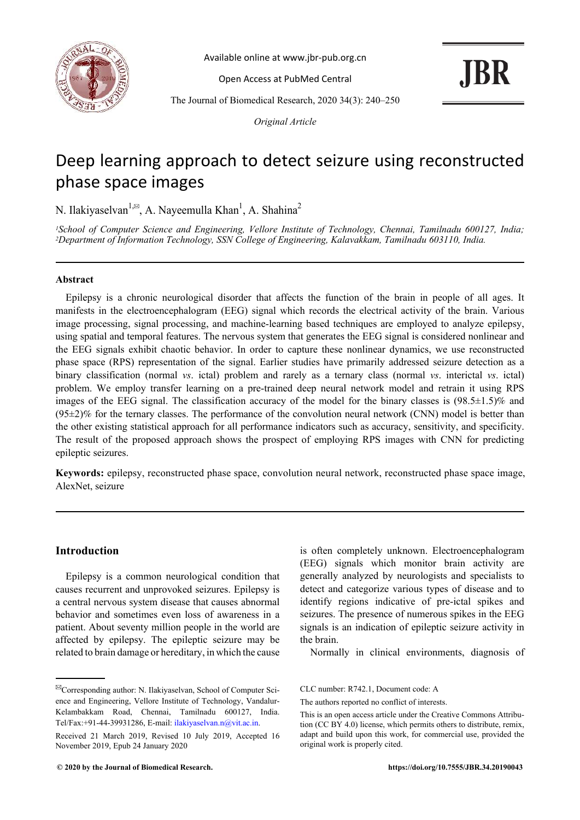

Available online at www.jbr-pub.org.cn

Open Access at PubMed Central

**JBR** 

The Journal of Biomedical Research, 2020 34(3): 240–250

*Original Article*

# Deep learning approach to detect seizure using reconstructed phase space images

N. Ilakiyaselvan<sup>1, $\approx$ </sup>, A. Nayeemulla Khan<sup>1</sup>, A. Shahina<sup>2</sup>

*<sup>1</sup>School of Computer Science and Engineering, Vellore Institute of Technology, Chennai, Tamilnadu 600127, India; <sup>2</sup>Department of Information Technology, SSN College of Engineering, Kalavakkam, Tamilnadu 603110, India.*

#### **Abstract**

Epilepsy is a chronic neurological disorder that affects the function of the brain in people of all ages. It manifests in the electroencephalogram (EEG) signal which records the electrical activity of the brain. Various image processing, signal processing, and machine-learning based techniques are employed to analyze epilepsy, using spatial and temporal features. The nervous system that generates the EEG signal is considered nonlinear and the EEG signals exhibit chaotic behavior. In order to capture these nonlinear dynamics, we use reconstructed phase space (RPS) representation of the signal. Earlier studies have primarily addressed seizure detection as a binary classification (normal *vs*. ictal) problem and rarely as a ternary class (normal *vs*. interictal *vs*. ictal) problem. We employ transfer learning on a pre-trained deep neural network model and retrain it using RPS images of the EEG signal. The classification accuracy of the model for the binary classes is  $(98.5\pm1.5)\%$  and  $(95\pm2)\%$  for the ternary classes. The performance of the convolution neural network (CNN) model is better than the other existing statistical approach for all performance indicators such as accuracy, sensitivity, and specificity. The result of the proposed approach shows the prospect of employing RPS images with CNN for predicting epileptic seizures.

**Keywords:** epilepsy, reconstructed phase space, convolution neural network, reconstructed phase space image, AlexNet, seizure

# **Introduction**

Epilepsy is a common neurological condition that causes recurrent and unprovoked seizures. Epilepsy is a central nervous system disease that causes abnormal behavior and sometimes even loss of awareness in a patient. About seventy million people in the world are affected by epilepsy. The epileptic seizure may be related to brain damage or hereditary, in which the cause is often completely unknown. Electroencephalogram (EEG) signals which monitor brain activity are generally analyzed by neurologists and specialists to detect and categorize various types of disease and to identify regions indicative of pre-ictal spikes and seizures. The presence of numerous spikes in the EEG signals is an indication of epileptic seizure activity in the brain.

Normally in clinical environments, diagnosis of

CLC number: R742.1, Document code: A

<sup>✉</sup>Corresponding author: N. Ilakiyaselvan, School of Computer Science and Engineering, Vellore Institute of Technology, Vandalur-Kelambakkam Road, Chennai, Tamilnadu 600127, India. Tel/Fax:+91-44-39931286, E-mail: ilakiyaselvan.n@vit.ac.in.

Received 21 March 2019, Revised 10 July 2019, Accepted 16 November 2019, Epub 24 January 2020

The authors reported no conflict of interests.

This is an open access article under the Creative Commons Attribution (CC BY 4.0) license, which permits others to distribute, remix, adapt and build upon this work, for commercial use, provided the original work is properly cited.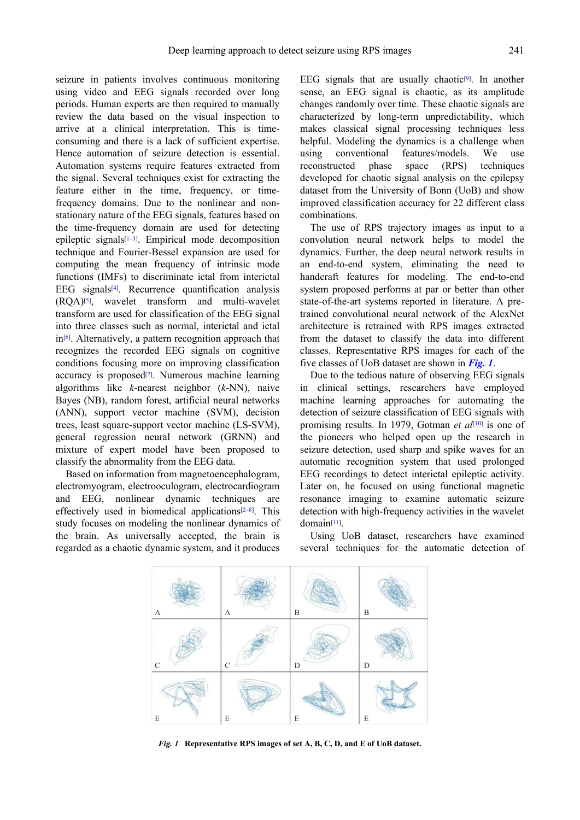seizure in patients involves continuous monitoring using video and EEG signals recorded over long periods. Human experts are then required to manually review the data based on the visual inspection to arrive at a clinical interpretation. This is timeconsuming and there is a lack of sufficient expertise. Hence automation of seizure detection is essential. Automation systems require features extracted from the signal. Several techniques exist for extracting the feature either in the time, frequency, or timefrequency domains. Due to the nonlinear and nonstationary nature of the EEG signals, features based on the time-frequency domain are used for detecting epileptic signals[1–3] . Empirical mode decomposition technique and Fourier-Bessel expansion are used for computing the mean frequency of intrinsic mode functions (IMFs) to discriminate ictal from interictal EEG signals<sup>[4]</sup>. Recurrence quantification analysis (RQA)[5] , wavelet transform and multi-wavelet transform are used for classification of the EEG signal into three classes such as normal, interictal and ictal in[6] . Alternatively, a pattern recognition approach that recognizes the recorded EEG signals on cognitive conditions focusing more on improving classification accuracy is proposed<sup>[7]</sup>. Numerous machine learning algorithms like *k*-nearest neighbor (*k*-NN), naive Bayes (NB), random forest, artificial neural networks (ANN), support vector machine (SVM), decision trees, least square-support vector machine (LS-SVM), general regression neural network (GRNN) and mixture of expert model have been proposed to classify the abnormality from the EEG data.

Based on information from magnetoencephalogram, electromyogram, electrooculogram, electrocardiogram and EEG, nonlinear dynamic techniques are effectively used in biomedical applications<sup>[2-8]</sup>. This study focuses on modeling the nonlinear dynamics of the brain. As universally accepted, the brain is regarded as a chaotic dynamic system, and it produces

EEG signals that are usually chaotic $[9]$ . In another sense, an EEG signal is chaotic, as its amplitude changes randomly over time. These chaotic signals are characterized by long-term unpredictability, which makes classical signal processing techniques less helpful. Modeling the dynamics is a challenge when using conventional features/models. We use reconstructed phase space (RPS) techniques developed for chaotic signal analysis on the epilepsy dataset from the University of Bonn (UoB) and show improved classification accuracy for 22 different class combinations.

The use of RPS trajectory images as input to a convolution neural network helps to model the dynamics. Further, the deep neural network results in an end-to-end system, eliminating the need to handcraft features for modeling. The end-to-end system proposed performs at par or better than other state-of-the-art systems reported in literature. A pretrained convolutional neural network of the AlexNet architecture is retrained with RPS images extracted from the dataset to classify the data into different classes. Representative RPS images for each of the five classes of UoB dataset are shown in *Fig. 1*.

Due to the tedious nature of observing EEG signals in clinical settings, researchers have employed machine learning approaches for automating the detection of seizure classification of EEG signals with promising results. In 1979, Gotman *et al*<sup>[10]</sup> is one of the pioneers who helped open up the research in seizure detection, used sharp and spike waves for an automatic recognition system that used prolonged EEG recordings to detect interictal epileptic activity. Later on, he focused on using functional magnetic resonance imaging to examine automatic seizure detection with high-frequency activities in the wavelet domain[11] .

Using UoB dataset, researchers have examined several techniques for the automatic detection of



*Fig. 1* **Representative RPS images of set A, B, C, D, and E of UoB dataset.**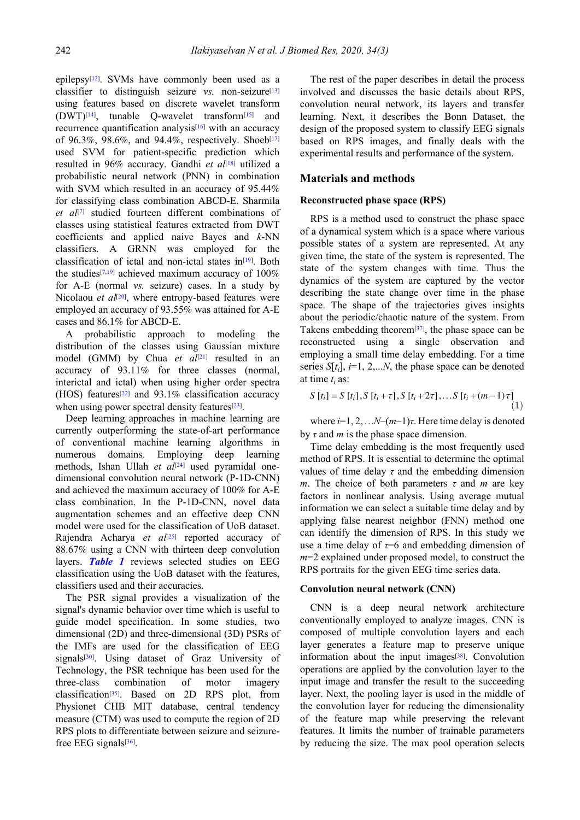epilepsy[12] . SVMs have commonly been used as a classifier to distinguish seizure *vs.* non-seizure<sup>[13]</sup> using features based on discrete wavelet transform (DWT)[14] , tunable Q-wavelet transform[15] and recurrence quantification analysis<sup>[16]</sup> with an accuracy of 96.3%, 98.6%, and 94.4%, respectively. Shoeb<sup>[17]</sup> used SVM for patient-specific prediction which resulted in 96% accuracy. Gandhi *et al*[18] utilized a probabilistic neural network (PNN) in combination with SVM which resulted in an accuracy of 95.44% for classifying class combination ABCD-E. Sharmila *et al*[7] studied fourteen different combinations of classes using statistical features extracted from DWT coefficients and applied naive Bayes and *k*-NN classifiers. A GRNN was employed for the classification of ictal and non-ictal states in<sup>[19]</sup>. Both the studies<sup>[7,19]</sup> achieved maximum accuracy of  $100\%$ for A-E (normal *vs.* seizure) cases. In a study by Nicolaou et al<sup>[20]</sup>, where entropy-based features were employed an accuracy of 93.55% was attained for A-E cases and 86.1% for ABCD-E.

A probabilistic approach to modeling the distribution of the classes using Gaussian mixture model (GMM) by Chua et al<sup>[21]</sup> resulted in an accuracy of 93.11% for three classes (normal, interictal and ictal) when using higher order spectra (HOS) features<sup>[22]</sup> and 93.1% classification accuracy when using power spectral density features<sup>[23]</sup>.

Deep learning approaches in machine learning are currently outperforming the state-of-art performance of conventional machine learning algorithms in numerous domains. Employing deep learning methods, Ishan Ullah et al<sup>[24]</sup> used pyramidal onedimensional convolution neural network (P-1D-CNN) and achieved the maximum accuracy of 100% for A-E class combination. In the P-1D-CNN, novel data augmentation schemes and an effective deep CNN model were used for the classification of UoB dataset. Rajendra Acharya et al<sup>[25]</sup> reported accuracy of 88.67% using a CNN with thirteen deep convolution layers. **Table 1** reviews selected studies on EEG classification using the UoB dataset with the features, classifiers used and their accuracies.

The PSR signal provides a visualization of the signal's dynamic behavior over time which is useful to guide model specification. In some studies, two dimensional (2D) and three-dimensional (3D) PSRs of the IMFs are used for the classification of EEG signals<sup>[30]</sup>. Using dataset of Graz University of Technology, the PSR technique has been used for the three-class combination of motor imagery classification[35] . Based on 2D RPS plot, from Physionet CHB MIT database, central tendency measure (CTM) was used to compute the region of 2D RPS plots to differentiate between seizure and seizurefree EEG signals<sup>[36]</sup>.

The rest of the paper describes in detail the process involved and discusses the basic details about RPS, convolution neural network, its layers and transfer learning. Next, it describes the Bonn Dataset, the design of the proposed system to classify EEG signals based on RPS images, and finally deals with the experimental results and performance of the system.

#### **Materials and methods**

#### **Reconstructed phase space (RPS)**

RPS is a method used to construct the phase space of a dynamical system which is a space where various possible states of a system are represented. At any given time, the state of the system is represented. The state of the system changes with time. Thus the dynamics of the system are captured by the vector describing the state change over time in the phase space. The shape of the trajectories gives insights about the periodic/chaotic nature of the system. From Takens embedding theorem<sup>[37]</sup>, the phase space can be reconstructed using a single observation and employing a small time delay embedding. For a time series  $S[t_i]$ ,  $i=1, 2,...N$ , the phase space can be denoted at time  $t_i$  as:

$$
S[t_i] = S[t_i], S[t_i + \tau], S[t_i + 2\tau], \dots S[t_i + (m-1)\tau]
$$
\n(1)

where  $i=1, 2, \ldots N-(m-1)\tau$ . Here time delay is denoted by *τ* and *m* is the phase space dimension.

Time delay embedding is the most frequently used method of RPS. It is essential to determine the optimal values of time delay  $\tau$  and the embedding dimension *m*. The choice of both parameters  $\tau$  and *m* are key factors in nonlinear analysis. Using average mutual information we can select a suitable time delay and by applying false nearest neighbor (FNN) method one can identify the dimension of RPS. In this study we use a time delay of  $\tau=6$  and embedding dimension of *m*=2 explained under proposed model, to construct the RPS portraits for the given EEG time series data.

#### **Convolution neural network (CNN)**

CNN is a deep neural network architecture conventionally employed to analyze images. CNN is composed of multiple convolution layers and each layer generates a feature map to preserve unique information about the input images $[38]$ . Convolution operations are applied by the convolution layer to the input image and transfer the result to the succeeding layer. Next, the pooling layer is used in the middle of the convolution layer for reducing the dimensionality of the feature map while preserving the relevant features. It limits the number of trainable parameters by reducing the size. The max pool operation selects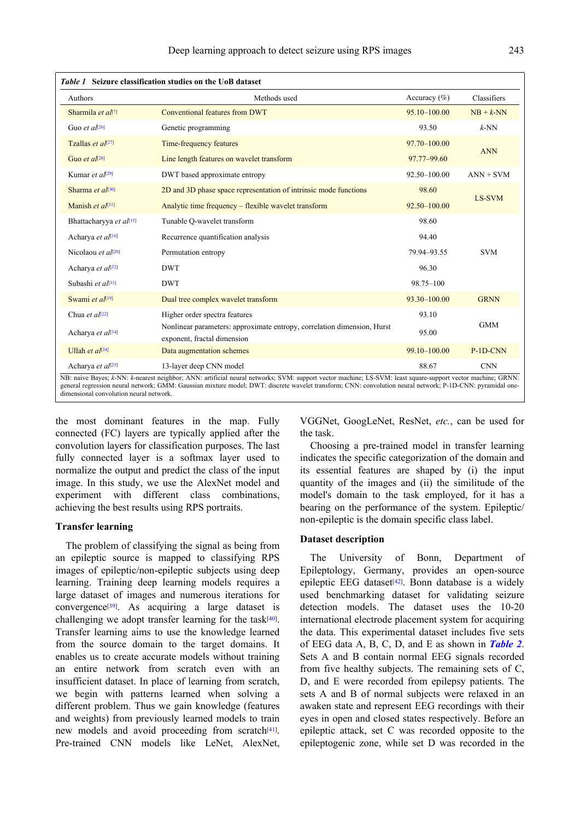| <b>Authors</b>                | Methods used                                                                                           | Accuracy $(\% )$ | Classifiers |
|-------------------------------|--------------------------------------------------------------------------------------------------------|------------------|-------------|
| Sharmila et al <sup>[7]</sup> | Conventional features from DWT                                                                         | 95.10-100.00     | $NB + k-NN$ |
| Guo et $a^{[26]}$             | Genetic programming                                                                                    | 93.50            | $k$ -NN     |
| Tzallas et $a[27]$            | Time-frequency features                                                                                | 97.70-100.00     |             |
| Guo et $al^{[28]}$            | Line length features on wavelet transform                                                              | 97.77-99.60      | <b>ANN</b>  |
| Kumar et $a^{[29]}$           | DWT based approximate entropy                                                                          | 92.50-100.00     | $ANN + SVM$ |
| Sharma et al[30]              | 2D and 3D phase space representation of intrinsic mode functions                                       | 98.60            |             |
| Manish et $a[31]$             | Analytic time frequency – flexible wavelet transform                                                   | 92.50-100.00     | LS-SVM      |
| Bhattacharyya et al[15]       | Tunable Q-wavelet transform                                                                            | 98.60            |             |
| Acharya et al[16]             | Recurrence quantification analysis                                                                     | 94.40            |             |
| Nicolaou et $a[20]$           | Permutation entropy                                                                                    | 79.94-93.55      | <b>SVM</b>  |
| Acharya et al[32]             | <b>DWT</b>                                                                                             | 96.30            |             |
| Subashi et al <sup>[33]</sup> | <b>DWT</b>                                                                                             | 98.75-100        |             |
| Swami et al[19]               | Dual tree complex wavelet transform                                                                    | $93.30 - 100.00$ | <b>GRNN</b> |
| Chua et $aI^{[22]}$           | Higher order spectra features                                                                          | 93.10            |             |
| Acharya et al[34]             | Nonlinear parameters: approximate entropy, correlation dimension, Hurst<br>exponent, fractal dimension | 95.00            | <b>GMM</b>  |
| Ullah et $a$ [[24]            | Data augmentation schemes                                                                              | 99.10-100.00     | P-1D-CNN    |
| Acharya et al <sup>[25]</sup> | 13-layer deep CNN model                                                                                | 88.67            | <b>CNN</b>  |

the most dominant features in the map. Fully connected (FC) layers are typically applied after the convolution layers for classification purposes. The last fully connected layer is a softmax layer used to normalize the output and predict the class of the input image. In this study, we use the AlexNet model and experiment with different class combinations, achieving the best results using RPS portraits.

#### **Transfer learning**

The problem of classifying the signal as being from an epileptic source is mapped to classifying RPS images of epileptic/non-epileptic subjects using deep learning. Training deep learning models requires a large dataset of images and numerous iterations for convergence<sup>[39]</sup>. As acquiring a large dataset is challenging we adopt transfer learning for the task $[40]$ . Transfer learning aims to use the knowledge learned from the source domain to the target domains. It enables us to create accurate models without training an entire network from scratch even with an insufficient dataset. In place of learning from scratch, we begin with patterns learned when solving a different problem. Thus we gain knowledge (features and weights) from previously learned models to train new models and avoid proceeding from scratch<sup>[41]</sup>. Pre-trained CNN models like LeNet, AlexNet, VGGNet, GoogLeNet, ResNet, *etc.*, can be used for the task.

Choosing a pre-trained model in transfer learning indicates the specific categorization of the domain and its essential features are shaped by (i) the input quantity of the images and (ii) the similitude of the model's domain to the task employed, for it has a bearing on the performance of the system. Epileptic/ non-epileptic is the domain specific class label.

#### **Dataset description**

The University of Bonn, Department of Epileptology, Germany, provides an open-source epileptic EEG dataset<sup>[42]</sup>. Bonn database is a widely used benchmarking dataset for validating seizure detection models. The dataset uses the 10-20 international electrode placement system for acquiring the data. This experimental dataset includes five sets of EEG data A, B, C, D, and E as shown in *Table 2*. Sets A and B contain normal EEG signals recorded from five healthy subjects. The remaining sets of C, D, and E were recorded from epilepsy patients. The sets A and B of normal subjects were relaxed in an awaken state and represent EEG recordings with their eyes in open and closed states respectively. Before an epileptic attack, set C was recorded opposite to the epileptogenic zone, while set D was recorded in the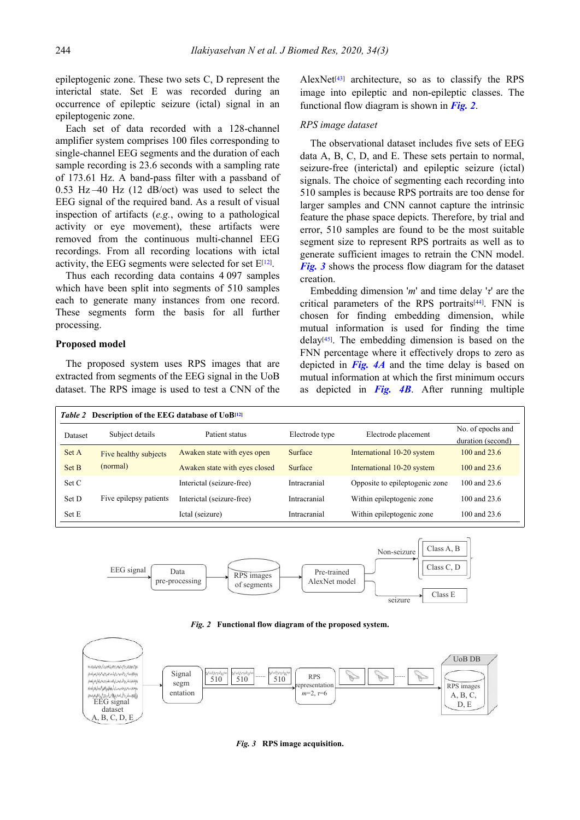epileptogenic zone. These two sets C, D represent the interictal state. Set E was recorded during an occurrence of epileptic seizure (ictal) signal in an epileptogenic zone.

Each set of data recorded with a 128-channel amplifier system comprises 100 files corresponding to single-channel EEG segments and the duration of each sample recording is 23.6 seconds with a sampling rate of 173.61 Hz. A band-pass filter with a passband of 0.53 Hz –40 Hz (12 dB/oct) was used to select the EEG signal of the required band. As a result of visual inspection of artifacts (*e.g.*, owing to a pathological activity or eye movement), these artifacts were removed from the continuous multi-channel EEG recordings. From all recording locations with ictal activity, the EEG segments were selected for set E<sup>[12]</sup>.

Thus each recording data contains 4 097 samples which have been split into segments of 510 samples each to generate many instances from one record. These segments form the basis for all further processing.

#### **Proposed model**

The proposed system uses RPS images that are extracted from segments of the EEG signal in the UoB dataset. The RPS image is used to test a CNN of the

AlexNet<sup>[43]</sup> architecture, so as to classify the RPS image into epileptic and non-epileptic classes. The functional flow diagram is shown in *Fig. 2*.

#### *RPS image dataset*

The observational dataset includes five sets of EEG data A, B, C, D, and E. These sets pertain to normal, seizure-free (interictal) and epileptic seizure (ictal) signals. The choice of segmenting each recording into 510 samples is because RPS portraits are too dense for larger samples and CNN cannot capture the intrinsic feature the phase space depicts. Therefore, by trial and error, 510 samples are found to be the most suitable segment size to represent RPS portraits as well as to generate sufficient images to retrain the CNN model. *Fig. 3* shows the process flow diagram for the dataset creation.

Embedding dimension '*m*' and time delay '*τ*' are the critical parameters of the RPS portraits<sup>[44]</sup>. FNN is chosen for finding embedding dimension, while mutual information is used for finding the time delay[45] . The embedding dimension is based on the FNN percentage where it effectively drops to zero as depicted in *Fig. 4A* and the time delay is based on mutual information at which the first minimum occurs as depicted in *Fig. 4B*. After running multiple

| Table 2 Description of the EEG database of UoB <sup>[12]</sup> |                               |                |                                |                                        |  |
|----------------------------------------------------------------|-------------------------------|----------------|--------------------------------|----------------------------------------|--|
| Subject details                                                | Patient status                | Electrode type | Electrode placement            | No. of epochs and<br>duration (second) |  |
| Five healthy subjects                                          | Awaken state with eyes open   | Surface        | International 10-20 system     | 100 and 23.6                           |  |
| (normal)                                                       | Awaken state with eyes closed | Surface        | International 10-20 system     | 100 and $23.6$                         |  |
|                                                                | Interictal (seizure-free)     | Intracranial   | Opposite to epileptogenic zone | 100 and 23.6                           |  |
| Five epilepsy patients                                         | Interictal (seizure-free)     | Intracranial   | Within epileptogenic zone      | 100 and 23.6                           |  |
|                                                                | Ictal (seizure)               | Intracranial   | Within epileptogenic zone      | 100 and 23.6                           |  |
|                                                                |                               |                |                                |                                        |  |



*Fig. 2* **Functional flow diagram of the proposed system.**



*Fig. 3* **RPS image acquisition.**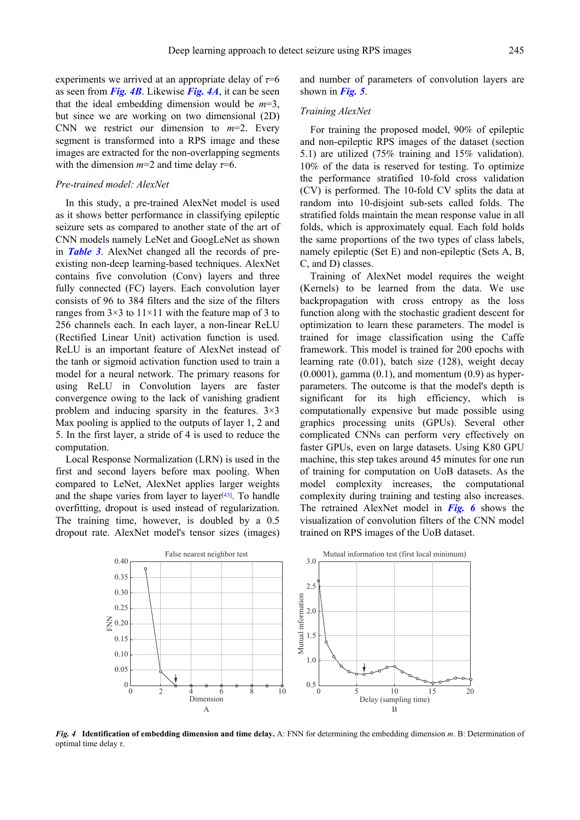experiments we arrived at an appropriate delay of *τ*=6 as seen from *Fig. 4B*. Likewise *Fig. 4A*, it can be seen that the ideal embedding dimension would be *m*=3, but since we are working on two dimensional (2D) CNN we restrict our dimension to  $m=2$ . Every segment is transformed into a RPS image and these images are extracted for the non-overlapping segments with the dimension  $m=2$  and time delay  $\tau=6$ .

#### *Pre-trained model: AlexNet*

In this study, a pre-trained AlexNet model is used as it shows better performance in classifying epileptic seizure sets as compared to another state of the art of CNN models namely LeNet and GoogLeNet as shown in *Table 3*. AlexNet changed all the records of preexisting non-deep learning-based techniques. AlexNet contains five convolution (Conv) layers and three fully connected (FC) layers. Each convolution layer consists of 96 to 384 filters and the size of the filters ranges from  $3\times3$  to  $11\times11$  with the feature map of 3 to 256 channels each. In each layer, a non-linear ReLU (Rectified Linear Unit) activation function is used. ReLU is an important feature of AlexNet instead of the tanh or sigmoid activation function used to train a model for a neural network. The primary reasons for using ReLU in Convolution layers are faster convergence owing to the lack of vanishing gradient problem and inducing sparsity in the features.  $3\times3$ Max pooling is applied to the outputs of layer 1, 2 and 5. In the first layer, a stride of 4 is used to reduce the computation.

Local Response Normalization (LRN) is used in the first and second layers before max pooling. When compared to LeNet, AlexNet applies larger weights and the shape varies from layer to layer $[43]$ . To handle overfitting, dropout is used instead of regularization. The training time, however, is doubled by a 0.5 dropout rate. AlexNet model's tensor sizes (images) and number of parameters of convolution layers are shown in *Fig. 5*.

#### *Training AlexNet*

For training the proposed model, 90% of epileptic and non-epileptic RPS images of the dataset (section 5.1) are utilized (75% training and 15% validation). 10% of the data is reserved for testing. To optimize the performance stratified 10-fold cross validation (CV) is performed. The 10-fold CV splits the data at random into 10-disjoint sub-sets called folds. The stratified folds maintain the mean response value in all folds, which is approximately equal. Each fold holds the same proportions of the two types of class labels, namely epileptic (Set E) and non-epileptic (Sets A, B, C, and D) classes.

Training of AlexNet model requires the weight (Kernels) to be learned from the data. We use backpropagation with cross entropy as the loss function along with the stochastic gradient descent for optimization to learn these parameters. The model is trained for image classification using the Caffe framework. This model is trained for 200 epochs with learning rate (0.01), batch size (128), weight decay  $(0.0001)$ , gamma  $(0.1)$ , and momentum  $(0.9)$  as hyperparameters. The outcome is that the model's depth is significant for its high efficiency, which is computationally expensive but made possible using graphics processing units (GPUs). Several other complicated CNNs can perform very effectively on faster GPUs, even on large datasets. Using K80 GPU machine, this step takes around 45 minutes for one run of training for computation on UoB datasets. As the model complexity increases, the computational complexity during training and testing also increases. The retrained AlexNet model in *Fig. 6* shows the visualization of convolution filters of the CNN model trained on RPS images of the UoB dataset.



*Fig. 4* **Identification of embedding dimension and time delay.** A: FNN for determining the embedding dimension *m*. B: Determination of optimal time delay *τ*.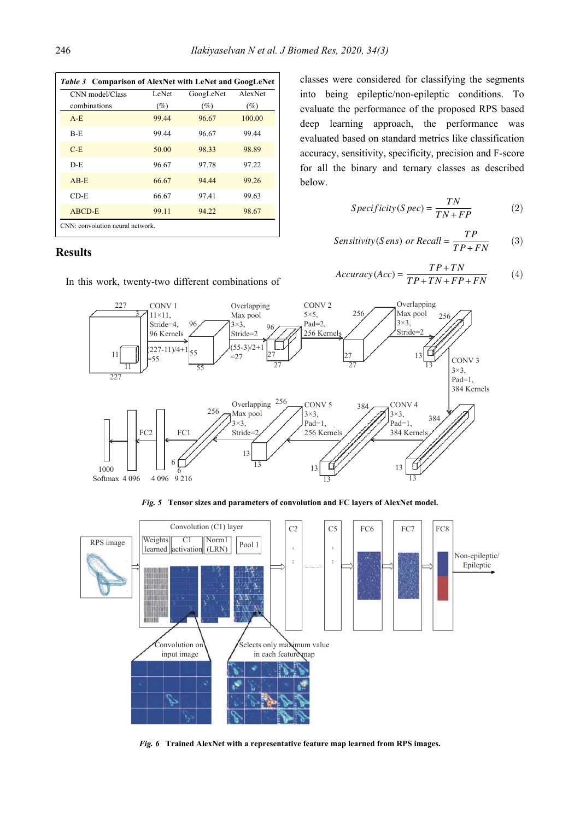| CNN model/Class | LeNet | GoogLeNet | A lex Net |
|-----------------|-------|-----------|-----------|
| combinations    | (%)   | (%)       | (%)       |
| $A - E$         | 99.44 | 96.67     | 100.00    |
| $B - E$         | 99.44 | 96.67     | 99.44     |
| $C-E$           | 50.00 | 98.33     | 98.89     |
| $D - E$         | 96.67 | 97.78     | 97.22     |
| $AB-E$          | 66.67 | 94.44     | 99.26     |
| $CD-E$          | 66.67 | 97.41     | 99.63     |
| ABCD-E          | 99.11 | 94.22     | 98.67     |

# **Results**

In this work, twenty-two different combinations of

classes were considered for classifying the segments into being epileptic/non-epileptic conditions. To evaluate the performance of the proposed RPS based deep learning approach, the performance was evaluated based on standard metrics like classification accuracy, sensitivity, specificity, precision and F-score for all the binary and ternary classes as described below.

$$
Specificity(Spec) = \frac{TN}{TN + FP}
$$
 (2)

$$
Sensitivity(S \text{ ens}) \text{ or } Recall = \frac{TP}{TP + FN} \tag{3}
$$

$$
Accuracy(Acc) = \frac{TP + TN}{TP + TN + FP + FN}
$$
 (4)



*Fig. 5* **Tensor sizes and parameters of convolution and FC layers of AlexNet model.**



*Fig. 6* **Trained AlexNet with a representative feature map learned from RPS images.**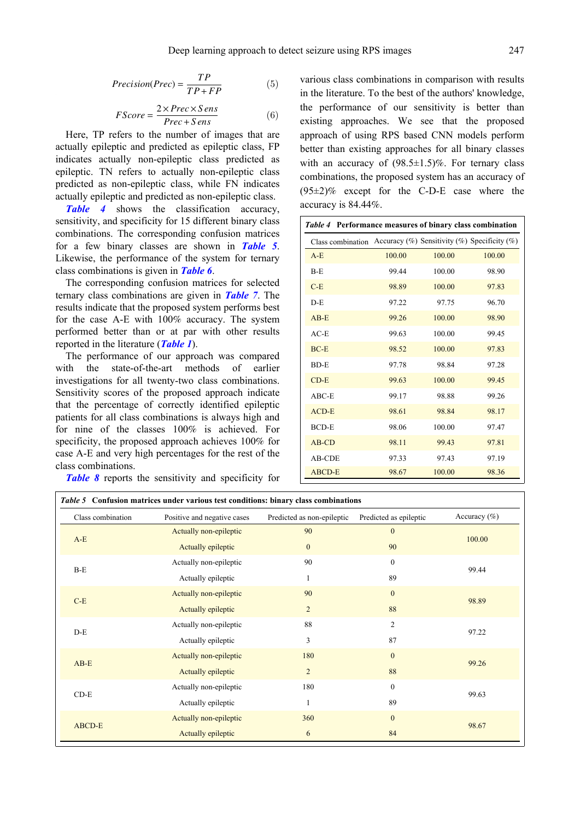$$
Precision(Prec) = \frac{TP}{TP + FP}
$$
 (5)

$$
FScore = \frac{2 \times Prec \times Sens}{Prec + Sens}
$$
 (6)

Here, TP refers to the number of images that are actually epileptic and predicted as epileptic class, FP indicates actually non-epileptic class predicted as epileptic. TN refers to actually non-epileptic class predicted as non-epileptic class, while FN indicates actually epileptic and predicted as non-epileptic class.

*Table 4* shows the classification accuracy, sensitivity, and specificity for 15 different binary class combinations. The corresponding confusion matrices for a few binary classes are shown in *Table 5*. Likewise, the performance of the system for ternary class combinations is given in *Table 6*.

The corresponding confusion matrices for selected ternary class combinations are given in *Table 7*. The results indicate that the proposed system performs best for the case A-E with 100% accuracy. The system performed better than or at par with other results reported in the literature (*Table 1*).

The performance of our approach was compared with the state-of-the-art methods of earlier investigations for all twenty-two class combinations. Sensitivity scores of the proposed approach indicate that the percentage of correctly identified epileptic patients for all class combinations is always high and for nine of the classes 100% is achieved. For specificity, the proposed approach achieves 100% for case A-E and very high percentages for the rest of the class combinations.

*Table 8* reports the sensitivity and specificity for

various class combinations in comparison with results in the literature. To the best of the authors' knowledge, the performance of our sensitivity is better than existing approaches. We see that the proposed approach of using RPS based CNN models perform better than existing approaches for all binary classes with an accuracy of  $(98.5 \pm 1.5)\%$ . For ternary class combinations, the proposed system has an accuracy of  $(95\pm2)\%$  except for the C-D-E case where the accuracy is 84.44%.

| Table 4 Performance measures of binary class combination |        |                                                       |        |
|----------------------------------------------------------|--------|-------------------------------------------------------|--------|
| Class combination                                        |        | Accuracy $(\%)$ Sensitivity $(\%)$ Specificity $(\%)$ |        |
| $A - E$                                                  | 100.00 | 100.00                                                | 100.00 |
| $B-F$                                                    | 99.44  | 100.00                                                | 98.90  |
| $C-F$                                                    | 98.89  | 100.00                                                | 97.83  |
| $D - E$                                                  | 97.22  | 97.75                                                 | 96.70  |
| $AB-E$                                                   | 99.26  | 100.00                                                | 98.90  |
| $AC-E$                                                   | 99.63  | 100.00                                                | 99.45  |
| $BC-E$                                                   | 98.52  | 100.00                                                | 97.83  |
| <b>BD-E</b>                                              | 97.78  | 98.84                                                 | 97.28  |
| $CD-E$                                                   | 99.63  | 100.00                                                | 99.45  |
| $ABC-E$                                                  | 99.17  | 98.88                                                 | 99.26  |
| $ACD-E$                                                  | 98.61  | 98.84                                                 | 98.17  |
| <b>BCD-E</b>                                             | 98.06  | 100.00                                                | 97.47  |
| $AB$ -CD                                                 | 98.11  | 99.43                                                 | 97.81  |
| AB-CDE                                                   | 97.33  | 97.43                                                 | 97.19  |
| ABCD-E                                                   | 98.67  | 100.00                                                | 98.36  |

| Class combination | Positive and negative cases | Predicted as non-epileptic | Predicted as epileptic | Accuracy $(\% )$ |  |
|-------------------|-----------------------------|----------------------------|------------------------|------------------|--|
| $A-E$             | Actually non-epileptic      | 90                         | $\boldsymbol{0}$       |                  |  |
|                   | Actually epileptic          | $\mathbf{0}$               | 90                     | 100.00           |  |
| $B-E$             | Actually non-epileptic      | 90                         | $\mathbf{0}$           | 99.44            |  |
|                   | Actually epileptic          | $\mathbf{1}$               | 89                     |                  |  |
|                   | Actually non-epileptic      | 90                         | $\boldsymbol{0}$       | 98.89            |  |
| $C-E$             | Actually epileptic          | $\overline{2}$             | 88                     |                  |  |
| $D-E$             | Actually non-epileptic      | 88                         | 2                      | 97.22            |  |
|                   | Actually epileptic          | 3                          | 87                     |                  |  |
| $AB-E$            | Actually non-epileptic      | 180                        | $\mathbf{0}$           | 99.26            |  |
|                   | Actually epileptic          | $\overline{2}$             | 88                     |                  |  |
| $CD-E$            | Actually non-epileptic      | 180                        | $\boldsymbol{0}$       | 99.63            |  |
|                   | Actually epileptic          | $\mathbf{1}$               | 89                     |                  |  |
| <b>ABCD-E</b>     | Actually non-epileptic      | 360                        | $\overline{0}$         | 98.67            |  |
|                   | Actually epileptic          | 6                          | 84                     |                  |  |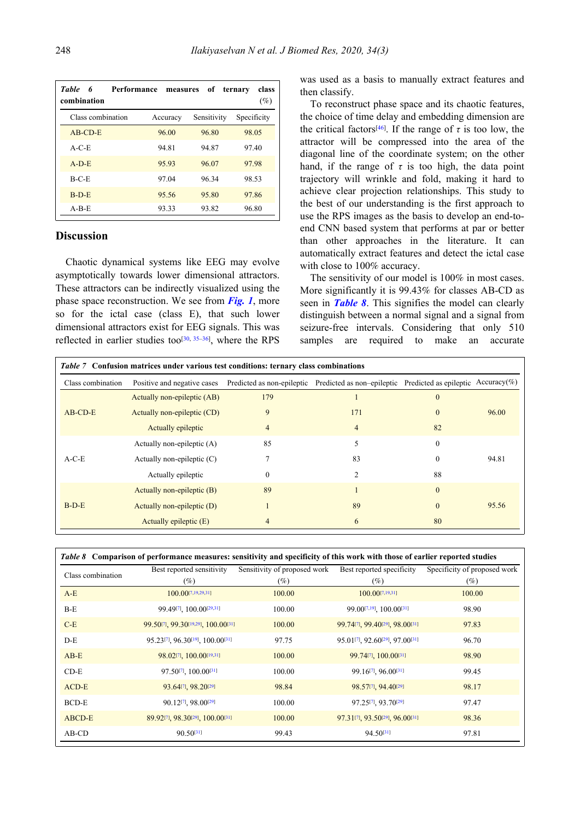| <b>Table</b><br>Performance<br>6<br>combination | measures | of          | class<br>ternary<br>(%) |
|-------------------------------------------------|----------|-------------|-------------------------|
| Class combination                               | Accuracy | Sensitivity | Specificity             |
| $AB$ -CD-E                                      | 96.00    | 96.80       | 98.05                   |
| $A-C-E$                                         | 94.81    | 94.87       | 97.40                   |
| $A-D-E$                                         | 95.93    | 96.07       | 97.98                   |
| $B-C-E$                                         | 97.04    | 96.34       | 98.53                   |
| $B-D-E$                                         | 95.56    | 95.80       | 97.86                   |
| $A-B-E$                                         | 93.33    | 93.82       | 96.80                   |

# **Discussion**

Chaotic dynamical systems like EEG may evolve asymptotically towards lower dimensional attractors. These attractors can be indirectly visualized using the phase space reconstruction. We see from *Fig. 1*, more so for the ictal case (class E), that such lower dimensional attractors exist for EEG signals. This was reflected in earlier studies too<sup>[30, 35–36]</sup>, where the RPS

was used as a basis to manually extract features and then classify.

To reconstruct phase space and its chaotic features, the choice of time delay and embedding dimension are the critical factors<sup>[46]</sup>. If the range of  $\tau$  is too low, the attractor will be compressed into the area of the diagonal line of the coordinate system; on the other hand, if the range of  $\tau$  is too high, the data point trajectory will wrinkle and fold, making it hard to achieve clear projection relationships. This study to the best of our understanding is the first approach to use the RPS images as the basis to develop an end-toend CNN based system that performs at par or better than other approaches in the literature. It can automatically extract features and detect the ictal case with close to  $100\%$  accuracy.

The sensitivity of our model is 100% in most cases. More significantly it is 99.43% for classes AB-CD as seen in *Table 8*. This signifies the model can clearly distinguish between a normal signal and a signal from seizure-free intervals. Considering that only 510 samples are required to make an accurate

| <i>Table 7</i> Confusion matrices under various test conditions: ternary class combinations |                              |                |                                                                                          |                |       |  |
|---------------------------------------------------------------------------------------------|------------------------------|----------------|------------------------------------------------------------------------------------------|----------------|-------|--|
| Class combination                                                                           | Positive and negative cases  |                | Predicted as non-epileptic Predicted as non-epileptic Predicted as epileptic Accuracy(%) |                |       |  |
|                                                                                             | Actually non-epileptic (AB)  | 179            |                                                                                          | $\overline{0}$ |       |  |
| $AB$ -CD-E                                                                                  | Actually non-epileptic (CD)  | 9              | 171                                                                                      | $\theta$       | 96.00 |  |
|                                                                                             | Actually epileptic           | $\overline{4}$ | 4                                                                                        | 82             |       |  |
|                                                                                             | Actually non-epileptic (A)   | 85             | 5                                                                                        | $\theta$       |       |  |
| $A-C-E$                                                                                     | Actually non-epileptic $(C)$ |                | 83                                                                                       | 0              | 94.81 |  |
|                                                                                             | Actually epileptic           | $\Omega$       | 2                                                                                        | 88             |       |  |
| $B-D-E$                                                                                     | Actually non-epileptic (B)   | 89             |                                                                                          | $\theta$       |       |  |
|                                                                                             | Actually non-epileptic (D)   |                | 89                                                                                       | $\theta$       | 95.56 |  |
|                                                                                             | Actually epileptic (E)       | 4              | 6                                                                                        | 80             |       |  |

| Table 8 Comparison of performance measures: sensitivity and specificity of this work with those of earlier reported studies |                                                  |                              |                                              |                              |  |
|-----------------------------------------------------------------------------------------------------------------------------|--------------------------------------------------|------------------------------|----------------------------------------------|------------------------------|--|
| Class combination                                                                                                           | Best reported sensitivity                        | Sensitivity of proposed work | Best reported specificity                    | Specificity of proposed work |  |
|                                                                                                                             | (%)                                              | (%)                          | (%)                                          | $(\%)$                       |  |
| $A-E$                                                                                                                       | $100.00$ [7,19,29,31]                            | 100.00                       | $100.00$ [7,19,31]                           | 100.00                       |  |
| $B-E$                                                                                                                       | 99.49 <sup>[7]</sup> , 100.00 <sup>[29,31]</sup> | 100.00                       | $99.00^{[7,19]}$ , 100.00 <sup>[31]</sup>    | 98.90                        |  |
| $C-E$                                                                                                                       | 99.50[7], 99.30[19,29], 100.00[31]               | 100.00                       | 99.74[7] 99.40[29] 98.00[31]                 | 97.83                        |  |
| $D-E$                                                                                                                       | 95.23[7], 96.30[19], 100.00[31]                  | 97.75                        | 95.01[7], 92.60[29], 97.00[31]               | 96.70                        |  |
| $AB-E$                                                                                                                      | 98.02[7], 100.00[19,31]                          | 100.00                       | 99.74[7], 100.00[31]                         | 98.90                        |  |
| $CD-E$                                                                                                                      | 97.50[7], 100.00[31]                             | 100.00                       | 99.16 <sup>[7]</sup> , 96.00 <sup>[31]</sup> | 99.45                        |  |
| $ACD-E$                                                                                                                     | 93.64[7], 98.20[29]                              | 98.84                        | 98.57[7], 94.40[29]                          | 98.17                        |  |
| BCD-E                                                                                                                       | 90.12[7], 98.00[29]                              | 100.00                       | 97.25[7], 93.70[29]                          | 97.47                        |  |
| ABCD-E                                                                                                                      | 89.92[7], 98.30[29], 100.00[31]                  | 100.00                       | 97.31[7], 93.50[29], 96.00[31]               | 98.36                        |  |
| $AB$ -CD                                                                                                                    | $90.50^{[31]}$                                   | 99.43                        | 94.50[31]                                    | 97.81                        |  |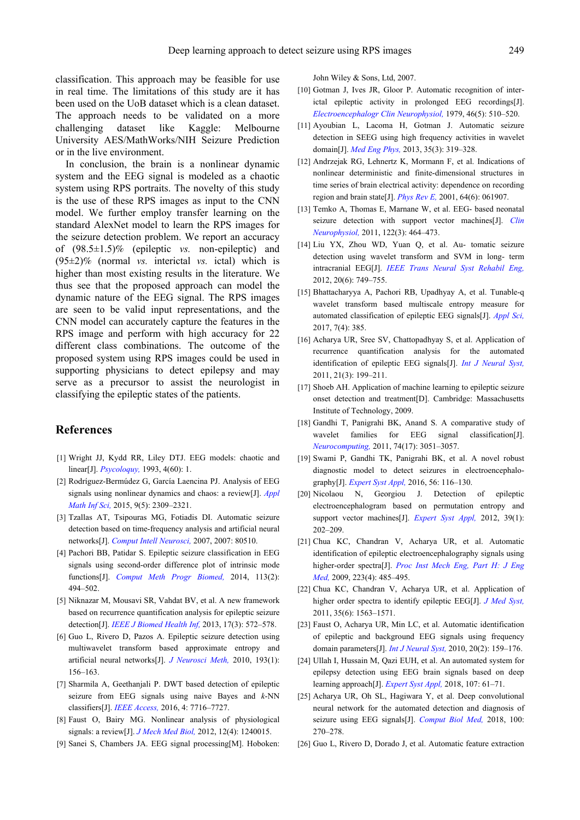classification. This approach may be feasible for use in real time. The limitations of this study are it has been used on the UoB dataset which is a clean dataset. The approach needs to be validated on a more challenging dataset like Kaggle: Melbourne University AES/MathWorks/NIH Seizure Prediction or in the live environment.

In conclusion, the brain is a nonlinear dynamic system and the EEG signal is modeled as a chaotic system using RPS portraits. The novelty of this study is the use of these RPS images as input to the CNN model. We further employ transfer learning on the standard AlexNet model to learn the RPS images for the seizure detection problem. We report an accuracy of (98.5±1.5)% (epileptic *vs.* non-epileptic) and (95±2)% (normal *vs.* interictal *vs.* ictal) which is higher than most existing results in the literature. We thus see that the proposed approach can model the dynamic nature of the EEG signal. The RPS images are seen to be valid input representations, and the CNN model can accurately capture the features in the RPS image and perform with high accuracy for 22 different class combinations. The outcome of the proposed system using RPS images could be used in supporting physicians to detect epilepsy and may serve as a precursor to assist the neurologist in classifying the epileptic states of the patients.

### **References**

- [1] Wright JJ, Kydd RR, Liley DTJ. EEG models: chaotic and linear[J]. *Psycoloquy,* 1993, 4(60): 1.
- [2] Rodríguez-Bermúdez G, García Laencina PJ. Analysis of EEG signals using nonlinear dynamics and chaos: a review[J]. *Appl Math Inf Sci,* 2015, 9(5): 2309–2321.
- [3] Tzallas AT, Tsipouras MG, Fotiadis DI. Automatic seizure detection based on time-frequency analysis and artificial neural networks[J]. *Comput Intell Neurosci,* 2007, 2007: 80510.
- [4] Pachori BB, Patidar S. Epileptic seizure classification in EEG signals using second-order difference plot of intrinsic mode functions[J]. *Comput Meth Progr Biomed,* 2014, 113(2): 494–502.
- [5] Niknazar M, Mousavi SR, Vahdat BV, et al. A new framework based on recurrence quantification analysis for epileptic seizure detection[J]. *IEEE J Biomed Health Inf,* 2013, 17(3): 572–578.
- [6] Guo L, Rivero D, Pazos A. Epileptic seizure detection using multiwavelet transform based approximate entropy and artificial neural networks[J]. *J Neurosci Meth,* 2010, 193(1): 156–163.
- [7] Sharmila A, Geethanjali P. DWT based detection of epileptic seizure from EEG signals using naive Bayes and *k*-NN classifiers[J]. *IEEE Access,* 2016, 4: 7716–7727.
- [8] Faust O, Bairy MG. Nonlinear analysis of physiological signals: a review[J]. *J Mech Med Biol,* 2012, 12(4): 1240015.
- [9] Sanei S, Chambers JA. EEG signal processing[M]. Hoboken:

John Wiley & Sons, Ltd, 2007.

- [10] Gotman J, Ives JR, Gloor P. Automatic recognition of interictal epileptic activity in prolonged EEG recordings[J]. *Electroencephalogr Clin Neurophysiol,* 1979, 46(5): 510–520.
- [11] Ayoubian L, Lacoma H, Gotman J. Automatic seizure detection in SEEG using high frequency activities in wavelet domain[J]. *Med Eng Phys,* 2013, 35(3): 319–328.
- [12] Andrzejak RG, Lehnertz K, Mormann F, et al. Indications of nonlinear deterministic and finite-dimensional structures in time series of brain electrical activity: dependence on recording region and brain state[J]. *Phys Rev E,* 2001, 64(6): 061907.
- [13] Temko A, Thomas E, Marnane W, et al. EEG- based neonatal seizure detection with support vector machines[J]. *Clin Neurophysiol,* 2011, 122(3): 464–473.
- [14] Liu YX, Zhou WD, Yuan Q, et al. Au- tomatic seizure detection using wavelet transform and SVM in long- term intracranial EEG[J]. *IEEE Trans Neural Syst Rehabil Eng,* 2012, 20(6): 749–755.
- [15] Bhattacharyya A, Pachori RB, Upadhyay A, et al. Tunable-q wavelet transform based multiscale entropy measure for automated classification of epileptic EEG signals[J]. *Appl Sci,* 2017, 7(4): 385.
- [16] Acharya UR, Sree SV, Chattopadhyay S, et al. Application of recurrence quantification analysis for the automated identification of epileptic EEG signals[J]. *Int J Neural Syst,* 2011, 21(3): 199–211.
- [17] Shoeb AH. Application of machine learning to epileptic seizure onset detection and treatment[D]. Cambridge: Massachusetts Institute of Technology, 2009.
- [18] Gandhi T, Panigrahi BK, Anand S. A comparative study of wavelet families for EEG signal classification[J]. *Neurocomputing,* 2011, 74(17): 3051–3057.
- [19] Swami P, Gandhi TK, Panigrahi BK, et al. A novel robust diagnostic model to detect seizures in electroencephalography[J]. *Expert Syst Appl,* 2016, 56: 116–130.
- [20] Nicolaou N, Georgiou J. Detection of epileptic electroencephalogram based on permutation entropy and support vector machines[J]. *Expert Syst Appl,* 2012, 39(1): 202–209.
- [21] Chua KC, Chandran V, Acharya UR, et al. Automatic identification of epileptic electroencephalography signals using higher-order spectra[J]. *Proc Inst Mech Eng, Part H: J Eng Med,* 2009, 223(4): 485–495.
- [22] Chua KC, Chandran V, Acharya UR, et al. Application of higher order spectra to identify epileptic EEG[J]. *J Med Syst,* 2011, 35(6): 1563–1571.
- [23] Faust O, Acharya UR, Min LC, et al. Automatic identification of epileptic and background EEG signals using frequency domain parameters[J]. *Int J Neural Syst,* 2010, 20(2): 159–176.
- [24] Ullah I, Hussain M, Qazi EUH, et al. An automated system for epilepsy detection using EEG brain signals based on deep learning approach[J]. *Expert Syst Appl,* 2018, 107: 61–71.
- [25] Acharya UR, Oh SL, Hagiwara Y, et al. Deep convolutional neural network for the automated detection and diagnosis of seizure using EEG signals[J]. *Comput Biol Med,* 2018, 100: 270–278.
- [26] Guo L, Rivero D, Dorado J, et al. Automatic feature extraction